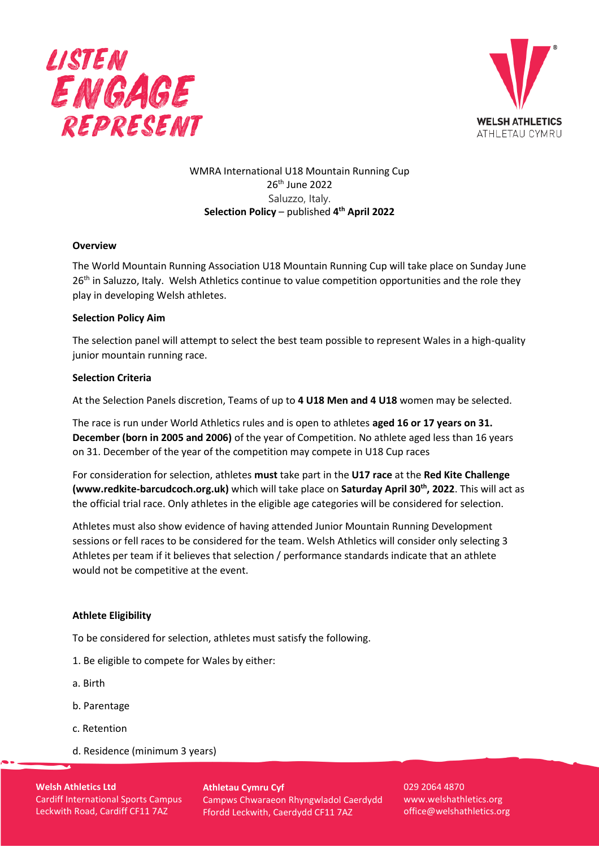



# WMRA International U18 Mountain Running Cup 26th June 2022 Saluzzo, Italy. **Selection Policy** – published **4 th April 2022**

## **Overview**

The World Mountain Running Association U18 Mountain Running Cup will take place on Sunday June 26<sup>th</sup> in Saluzzo, Italy. Welsh Athletics continue to value competition opportunities and the role they play in developing Welsh athletes.

#### **Selection Policy Aim**

The selection panel will attempt to select the best team possible to represent Wales in a high-quality junior mountain running race.

#### **Selection Criteria**

At the Selection Panels discretion, Teams of up to **4 U18 Men and 4 U18** women may be selected.

The race is run under World Athletics rules and is open to athletes **aged 16 or 17 years on 31. December (born in 2005 and 2006)** of the year of Competition. No athlete aged less than 16 years on 31. December of the year of the competition may compete in U18 Cup races

For consideration for selection, athletes **must** take part in the **U17 race** at the **Red Kite Challenge (www.redkite-barcudcoch.org.uk)** which will take place on **Saturday April 30th, 2022**. This will act as the official trial race. Only athletes in the eligible age categories will be considered for selection.

Athletes must also show evidence of having attended Junior Mountain Running Development sessions or fell races to be considered for the team. Welsh Athletics will consider only selecting 3 Athletes per team if it believes that selection / performance standards indicate that an athlete would not be competitive at the event.

#### **Athlete Eligibility**

To be considered for selection, athletes must satisfy the following.

- 1. Be eligible to compete for Wales by either:
- a. Birth
- b. Parentage
- c. Retention
- d. Residence (minimum 3 years)

**Welsh Athletics Ltd** Cardiff International Sports Campus Leckwith Road, Cardiff CF11 7AZ

**Athletau Cymru Cyf** Campws Chwaraeon Rhyngwladol Caerdydd Ffordd Leckwith, Caerdydd CF11 7AZ

029 2064 4870 www.welshathletics.org office@welshathletics.org